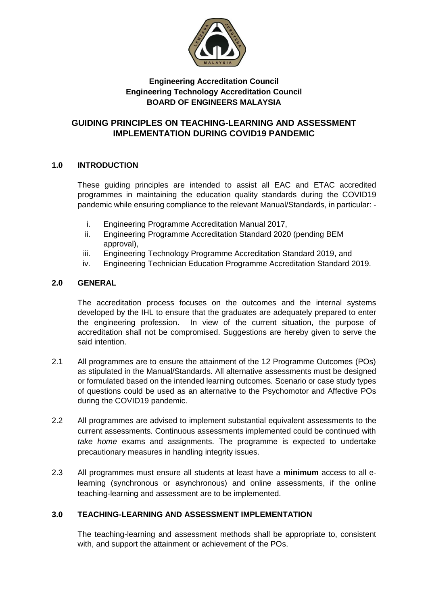

## **Engineering Accreditation Council Engineering Technology Accreditation Council BOARD OF ENGINEERS MALAYSIA**

# **GUIDING PRINCIPLES ON TEACHING-LEARNING AND ASSESSMENT IMPLEMENTATION DURING COVID19 PANDEMIC**

## **1.0 INTRODUCTION**

These guiding principles are intended to assist all EAC and ETAC accredited programmes in maintaining the education quality standards during the COVID19 pandemic while ensuring compliance to the relevant Manual/Standards, in particular: -

- i. Engineering Programme Accreditation Manual 2017,
- ii. Engineering Programme Accreditation Standard 2020 (pending BEM approval),
- iii. Engineering Technology Programme Accreditation Standard 2019, and
- iv. Engineering Technician Education Programme Accreditation Standard 2019.

## **2.0 GENERAL**

The accreditation process focuses on the outcomes and the internal systems developed by the IHL to ensure that the graduates are adequately prepared to enter the engineering profession. In view of the current situation, the purpose of accreditation shall not be compromised. Suggestions are hereby given to serve the said intention.

- 2.1 All programmes are to ensure the attainment of the 12 Programme Outcomes (POs) as stipulated in the Manual/Standards. All alternative assessments must be designed or formulated based on the intended learning outcomes. Scenario or case study types of questions could be used as an alternative to the Psychomotor and Affective POs during the COVID19 pandemic.
- 2.2 All programmes are advised to implement substantial equivalent assessments to the current assessments. Continuous assessments implemented could be continued with *take home* exams and assignments. The programme is expected to undertake precautionary measures in handling integrity issues.
- 2.3 All programmes must ensure all students at least have a **minimum** access to all elearning (synchronous or asynchronous) and online assessments, if the online teaching-learning and assessment are to be implemented.

# **3.0 TEACHING-LEARNING AND ASSESSMENT IMPLEMENTATION**

The teaching-learning and assessment methods shall be appropriate to, consistent with, and support the attainment or achievement of the POs.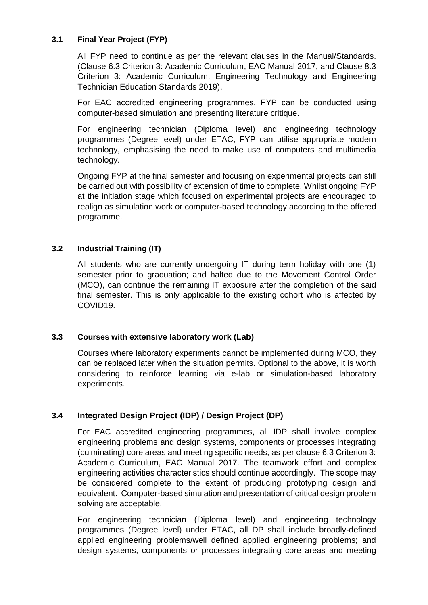## **3.1 Final Year Project (FYP)**

All FYP need to continue as per the relevant clauses in the Manual/Standards. (Clause 6.3 Criterion 3: Academic Curriculum, EAC Manual 2017, and Clause 8.3 Criterion 3: Academic Curriculum, Engineering Technology and Engineering Technician Education Standards 2019).

For EAC accredited engineering programmes, FYP can be conducted using computer-based simulation and presenting literature critique.

For engineering technician (Diploma level) and engineering technology programmes (Degree level) under ETAC, FYP can utilise appropriate modern technology, emphasising the need to make use of computers and multimedia technology.

Ongoing FYP at the final semester and focusing on experimental projects can still be carried out with possibility of extension of time to complete. Whilst ongoing FYP at the initiation stage which focused on experimental projects are encouraged to realign as simulation work or computer-based technology according to the offered programme.

#### **3.2 Industrial Training (IT)**

All students who are currently undergoing IT during term holiday with one (1) semester prior to graduation; and halted due to the Movement Control Order (MCO), can continue the remaining IT exposure after the completion of the said final semester. This is only applicable to the existing cohort who is affected by COVID19.

## **3.3 Courses with extensive laboratory work (Lab)**

Courses where laboratory experiments cannot be implemented during MCO, they can be replaced later when the situation permits. Optional to the above, it is worth considering to reinforce learning via e-lab or simulation-based laboratory experiments.

## **3.4 Integrated Design Project (IDP) / Design Project (DP)**

For EAC accredited engineering programmes, all IDP shall involve complex engineering problems and design systems, components or processes integrating (culminating) core areas and meeting specific needs, as per clause 6.3 Criterion 3: Academic Curriculum, EAC Manual 2017. The teamwork effort and complex engineering activities characteristics should continue accordingly. The scope may be considered complete to the extent of producing prototyping design and equivalent. Computer-based simulation and presentation of critical design problem solving are acceptable.

For engineering technician (Diploma level) and engineering technology programmes (Degree level) under ETAC, all DP shall include broadly-defined applied engineering problems/well defined applied engineering problems; and design systems, components or processes integrating core areas and meeting